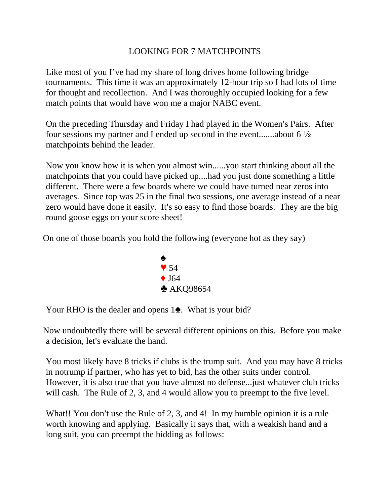## LOOKING FOR 7 MATCHPOINTS

Like most of you I've had my share of long drives home following bridge tournaments. This time it was an approximately 12-hour trip so I had lots of time for thought and recollection. And I was thoroughly occupied looking for a few match points that would have won me a major NABC event.

On the preceding Thursday and Friday I had played in the Women's Pairs. After four sessions my partner and I ended up second in the event.......about  $6\frac{1}{2}$ matchpoints behind the leader.

Now you know how it is when you almost win......you start thinking about all the matchpoints that you could have picked up....had you just done something a little different. There were a few boards where we could have turned near zeros into averages. Since top was 25 in the final two sessions, one average instead of a near zero would have done it easily. It's so easy to find those boards. They are the big round goose eggs on your score sheet!

On one of those boards you hold the following (everyone hot as they say)



Your RHO is the dealer and opens  $1\spadesuit$ . What is your bid?

Now undoubtedly there will be several different opinions on this. Before you make a decision, let's evaluate the hand.

You most likely have 8 tricks if clubs is the trump suit. And you may have 8 tricks in notrump if partner, who has yet to bid, has the other suits under control. However, it is also true that you have almost no defense...just whatever club tricks will cash. The Rule of 2, 3, and 4 would allow you to preempt to the five level.

What!! You don't use the Rule of 2, 3, and 4! In my humble opinion it is a rule worth knowing and applying. Basically it says that, with a weakish hand and a long suit, you can preempt the bidding as follows: